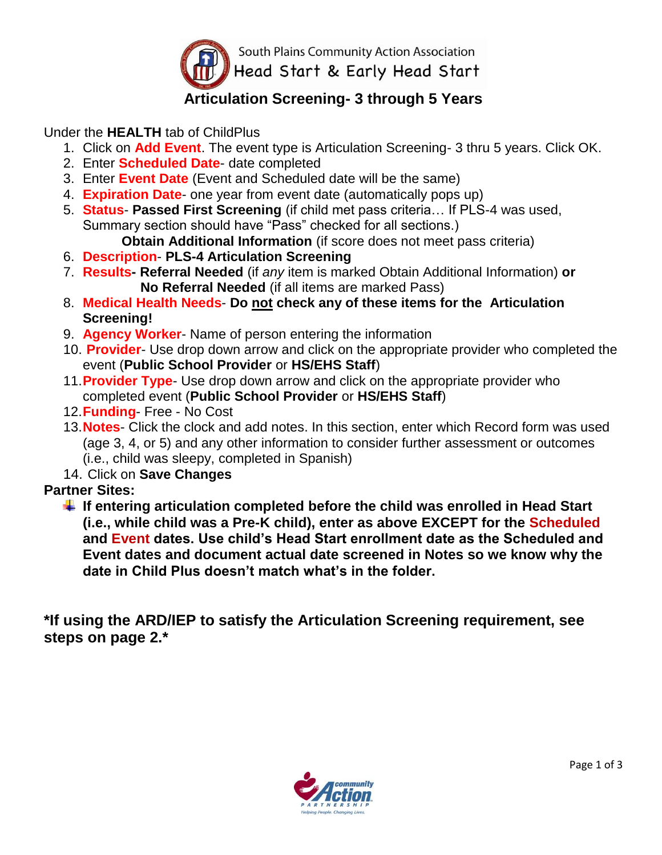

## **Articulation Screening- 3 through 5 Years**

Under the **HEALTH** tab of ChildPlus

- 1. Click on **Add Event**. The event type is Articulation Screening- 3 thru 5 years. Click OK.
- 2. Enter **Scheduled Date** date completed
- 3. Enter **Event Date** (Event and Scheduled date will be the same)
- 4. **Expiration Date** one year from event date (automatically pops up)
- 5. **Status Passed First Screening** (if child met pass criteria… If PLS-4 was used, Summary section should have "Pass" checked for all sections.)

**Obtain Additional Information** (if score does not meet pass criteria)

- 6. **Description PLS-4 Articulation Screening**
- 7. **Results- Referral Needed** (if *any* item is marked Obtain Additional Information) **or No Referral Needed** (if all items are marked Pass)
- 8. **Medical Health Needs Do not check any of these items for the Articulation Screening!**
- 9. **Agency Worker** Name of person entering the information
- 10. **Provider** Use drop down arrow and click on the appropriate provider who completed the event (**Public School Provider** or **HS/EHS Staff**)
- 11.**Provider Type** Use drop down arrow and click on the appropriate provider who completed event (**Public School Provider** or **HS/EHS Staff**)
- 12.**Funding** Free No Cost
- 13.**Notes** Click the clock and add notes. In this section, enter which Record form was used (age 3, 4, or 5) and any other information to consider further assessment or outcomes (i.e., child was sleepy, completed in Spanish)
- 14. Click on **Save Changes**

## **Partner Sites:**

**If entering articulation completed before the child was enrolled in Head Start (i.e., while child was a Pre-K child), enter as above EXCEPT for the Scheduled and Event dates. Use child's Head Start enrollment date as the Scheduled and Event dates and document actual date screened in Notes so we know why the date in Child Plus doesn't match what's in the folder.**

**\*If using the ARD/IEP to satisfy the Articulation Screening requirement, see steps on page 2.\***

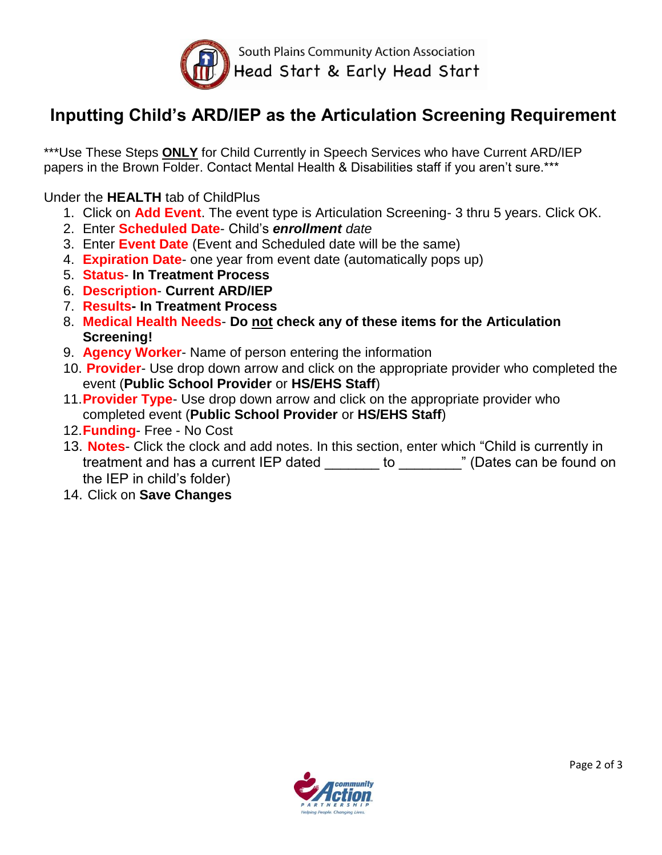

## **Inputting Child's ARD/IEP as the Articulation Screening Requirement**

\*\*\*Use These Steps **ONLY** for Child Currently in Speech Services who have Current ARD/IEP papers in the Brown Folder. Contact Mental Health & Disabilities staff if you aren't sure.\*\*\*

Under the **HEALTH** tab of ChildPlus

- 1. Click on **Add Event**. The event type is Articulation Screening- 3 thru 5 years. Click OK.
- 2. Enter **Scheduled Date** Child's *enrollment date*
- 3. Enter **Event Date** (Event and Scheduled date will be the same)
- 4. **Expiration Date** one year from event date (automatically pops up)
- 5. **Status In Treatment Process**
- 6. **Description Current ARD/IEP**
- 7. **Results- In Treatment Process**
- 8. **Medical Health Needs Do not check any of these items for the Articulation Screening!**
- 9. **Agency Worker** Name of person entering the information
- 10. **Provider** Use drop down arrow and click on the appropriate provider who completed the event (**Public School Provider** or **HS/EHS Staff**)
- 11.**Provider Type** Use drop down arrow and click on the appropriate provider who completed event (**Public School Provider** or **HS/EHS Staff**)
- 12.**Funding** Free No Cost
- 13. **Notes** Click the clock and add notes. In this section, enter which "Child is currently in treatment and has a current IEP dated \_\_\_\_\_\_\_ to \_\_\_\_\_\_\_\_" (Dates can be found on the IEP in child's folder)
- 14. Click on **Save Changes**